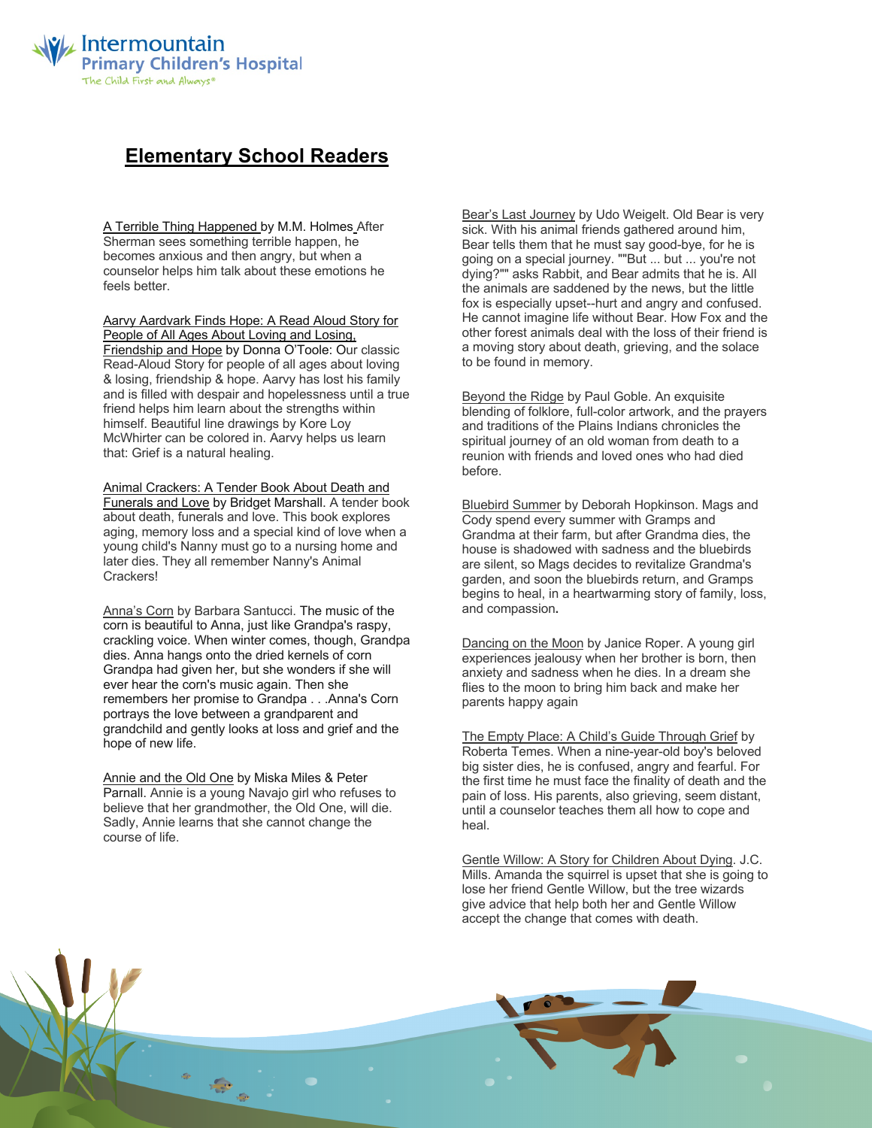

## **Elementary School Readers**

A Terrible Thing Happened by M.M. Holmes After Sherman sees something terrible happen, he becomes anxious and then angry, but when a counselor helps him talk about these emotions he feels better.

Aarvy Aardvark Finds Hope: A Read Aloud Story for People of All Ages About Loving and Losing, Friendship and Hope by Donna O'Toole: Our classic Read-Aloud Story for people of all ages about loving & losing, friendship & hope. Aarvy has lost his family and is filled with despair and hopelessness until a true friend helps him learn about the strengths within himself. Beautiful line drawings by Kore Loy McWhirter can be colored in. Aarvy helps us learn that: Grief is a natural healing.

Animal Crackers: A Tender Book About Death and Funerals and Love by Bridget Marshall. A tender book about death, funerals and love. This book explores aging, memory loss and a special kind of love when a young child's Nanny must go to a nursing home and later dies. They all remember Nanny's Animal Crackers!

Anna's Corn by Barbara Santucci. The music of the corn is beautiful to Anna, just like Grandpa's raspy, crackling voice. When winter comes, though, Grandpa dies. Anna hangs onto the dried kernels of corn Grandpa had given her, but she wonders if she will ever hear the corn's music again. Then she remembers her promise to Grandpa . . .Anna's Corn portrays the love between a grandparent and grandchild and gently looks at loss and grief and the hope of new life.

Annie and the Old One by Miska Miles & Peter Parnall. Annie is a young Navajo girl who refuses to believe that her grandmother, the Old One, will die. Sadly, Annie learns that she cannot change the course of life.

 $\frac{1}{\sqrt{2}}$ 

Bear's Last Journey by Udo Weigelt. Old Bear is very sick. With his animal friends gathered around him, Bear tells them that he must say good-bye, for he is going on a special journey. ""But ... but ... you're not dying?"" asks Rabbit, and Bear admits that he is. All the animals are saddened by the news, but the little fox is especially upset--hurt and angry and confused. He cannot imagine life without Bear. How Fox and the other forest animals deal with the loss of their friend is a moving story about death, grieving, and the solace to be found in memory.

Beyond the Ridge by Paul Goble. An exquisite blending of folklore, full-color artwork, and the prayers and traditions of the Plains Indians chronicles the spiritual journey of an old woman from death to a reunion with friends and loved ones who had died before.

Bluebird Summer by Deborah Hopkinson. Mags and Cody spend every summer with Gramps and Grandma at their farm, but after Grandma dies, the house is shadowed with sadness and the bluebirds are silent, so Mags decides to revitalize Grandma's garden, and soon the bluebirds return, and Gramps begins to heal, in a heartwarming story of family, loss, and compassion**.**

Dancing on the Moon by Janice Roper. A young girl experiences jealousy when her brother is born, then anxiety and sadness when he dies. In a dream she flies to the moon to bring him back and make her parents happy again

The Empty Place: A Child's Guide Through Grief by Roberta Temes. When a nine-year-old boy's beloved big sister dies, he is confused, angry and fearful. For the first time he must face the finality of death and the pain of loss. His parents, also grieving, seem distant, until a counselor teaches them all how to cope and heal.

Gentle Willow: A Story for Children About Dying. J.C. Mills. Amanda the squirrel is upset that she is going to lose her friend Gentle Willow, but the tree wizards give advice that help both her and Gentle Willow accept the change that comes with death.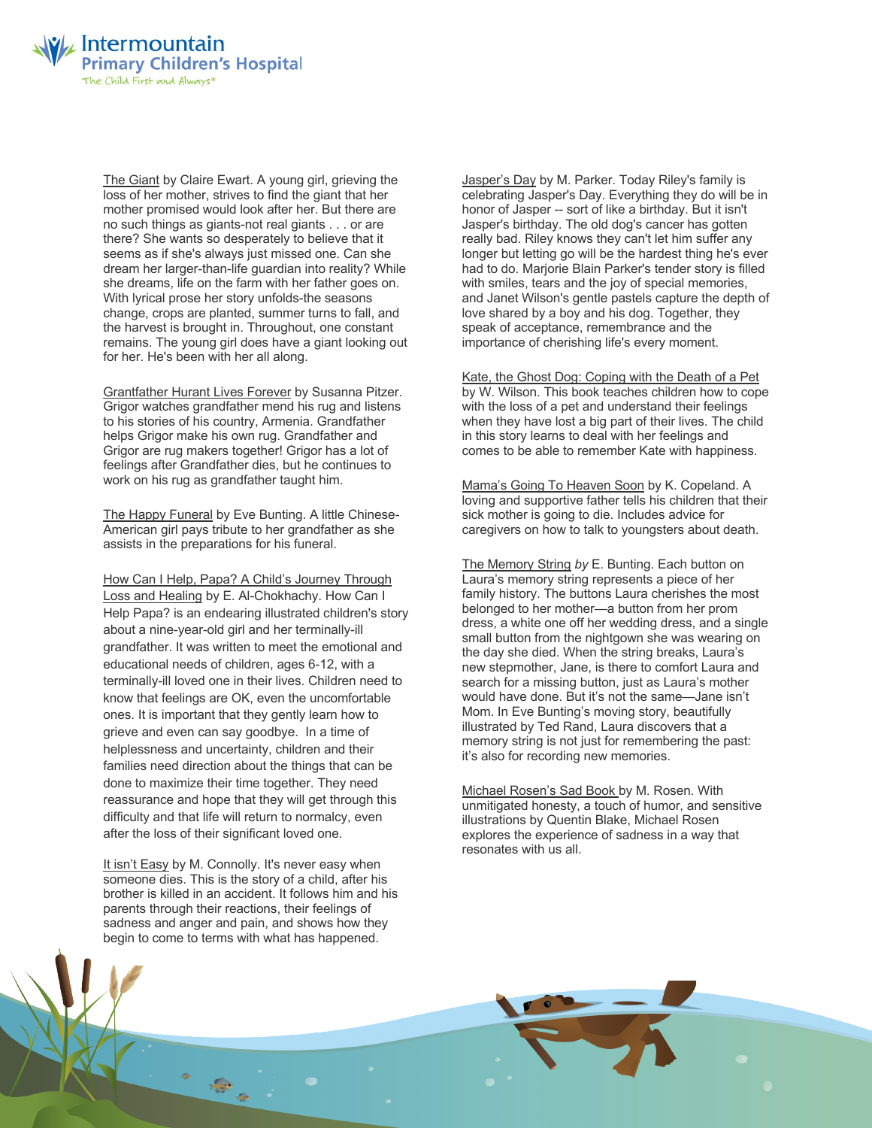

The Giant by Claire Ewart. A young girl, grieving the loss of her mother, strives to find the giant that her mother promised would look after her. But there are no such things as giants-not real giants . . . or are there? She wants so desperately to believe that it seems as if she's always just missed one. Can she dream her larger-than-life guardian into reality? While she dreams, life on the farm with her father goes on. With lyrical prose her story unfolds-the seasons change, crops are planted, summer turns to fall, and the harvest is brought in. Throughout, one constant remains. The young girl does have a giant looking out for her. He's been with her all along.

Grantfather Hurant Lives Forever by Susanna Pitzer. Grigor watches grandfather mend his rug and listens to his stories of his country, Armenia. Grandfather helps Grigor make his own rug. Grandfather and Grigor are rug makers together! Grigor has a lot of feelings after Grandfather dies, but he continues to work on his rug as grandfather taught him.

The Happy Funeral by Eve Bunting. A little Chinese-American girl pays tribute to her grandfather as she assists in the preparations for his funeral.

How Can I Help, Papa? A Child's Journey Through Loss and Healing by E. Al-Chokhachy. How Can I Help Papa? is an endearing illustrated children's story about a nine-year-old girl and her terminally-ill grandfather. It was written to meet the emotional and educational needs of children, ages 6-12, with a terminally-ill loved one in their lives. Children need to know that feelings are OK, even the uncomfortable ones. It is important that they gently learn how to grieve and even can say goodbye. In a time of helplessness and uncertainty, children and their families need direction about the things that can be done to maximize their time together. They need reassurance and hope that they will get through this difficulty and that life will return to normalcy, even after the loss of their significant loved one.

It isn't Easy by M. Connolly. It's never easy when someone dies. This is the story of a child, after his brother is killed in an accident. It follows him and his parents through their reactions, their feelings of sadness and anger and pain, and shows how they begin to come to terms with what has happened.

Jasper's Day by M. Parker. Today Riley's family is celebrating Jasper's Day. Everything they do will be in honor of Jasper -- sort of like a birthday. But it isn't Jasper's birthday. The old dog's cancer has gotten really bad. Riley knows they can't let him suffer any longer but letting go will be the hardest thing he's ever had to do. Marjorie Blain Parker's tender story is filled with smiles, tears and the joy of special memories, and Janet Wilson's gentle pastels capture the depth of love shared by a boy and his dog. Together, they speak of acceptance, remembrance and the importance of cherishing life's every moment.

Kate, the Ghost Dog: Coping with the Death of a Pet by W. Wilson. This book teaches children how to cope with the loss of a pet and understand their feelings when they have lost a big part of their lives. The child in this story learns to deal with her feelings and comes to be able to remember Kate with happiness.

Mama's Going To Heaven Soon by K. Copeland. A loving and supportive father tells his children that their sick mother is going to die. Includes advice for caregivers on how to talk to youngsters about death.

The Memory String *by* E. Bunting. Each button on Laura's memory string represents a piece of her family history. The buttons Laura cherishes the most belonged to her mother—a button from her prom dress, a white one off her wedding dress, and a single small button from the nightgown she was wearing on the day she died. When the string breaks, Laura's new stepmother, Jane, is there to comfort Laura and search for a missing button, just as Laura's mother would have done. But it's not the same—Jane isn't Mom. In Eve Bunting's moving story, beautifully illustrated by Ted Rand, Laura discovers that a memory string is not just for remembering the past: it's also for recording new memories.

Michael Rosen's Sad Book by M. Rosen. With unmitigated honesty, a touch of humor, and sensitive illustrations by Quentin Blake, Michael Rosen explores the experience of sadness in a way that resonates with us all.